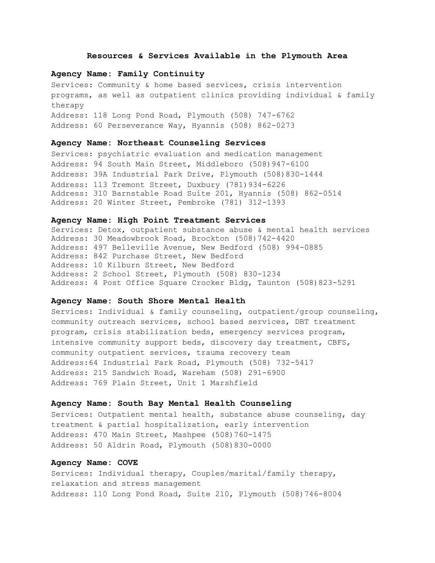#### **Resources & Services Available in the Plymouth Area**

## **Agency Name: Family Continuity**

Services: Community & home based services, crisis intervention programs, as well as outpatient clinics providing individual & family therapy Address: 118 Long Pond Road, Plymouth (508) 747-6762 Address: 60 Perseverance Way, Hyannis (508) 862-0273

## **Agency Name: Northeast Counseling Services**

Services: psychiatric evaluation and medication management Address: 94 South Main Street, Middleboro (508) 947-6100 Address: 39A Industrial Park Drive, Plymouth (508)830-1444 Address: 113 Tremont Street, Duxbury (781)934-6226 Address: 310 Barnstable Road Suite 201, Hyannis (508) 862-0514 Address: 20 Winter Street, Pembroke (781) 312-1393

## **Agency Name: High Point Treatment Services**

Services: Detox, outpatient substance abuse & mental health services Address: 30 Meadowbrook Road, Brockton (508)742-4420 Address: 497 Belleville Avenue, New Bedford (508) 994-0885 Address: 842 Purchase Street, New Bedford Address: 10 Kilburn Street, New Bedford Address: 2 School Street, Plymouth (508) 830-1234 Address: 4 Post Office Square Crocker Bldg, Taunton (508)823-5291

### **Agency Name: South Shore Mental Health**

Services: Individual & family counseling, outpatient/group counseling, community outreach services, school based services, DBT treatment program, crisis stabilization beds, emergency services program, intensive community support beds, discovery day treatment, CBFS, community outpatient services, trauma recovery team Address:64 Industrial Park Road, Plymouth (508) 732-5417 Address: 215 Sandwich Road, Wareham (508) 291-6900 Address: 769 Plain Street, Unit 1 Marshfield

### **Agency Name: South Bay Mental Health Counseling**

Services: Outpatient mental health, substance abuse counseling, day treatment & partial hospitalization, early intervention Address: 470 Main Street, Mashpee (508)760-1475 Address: 50 Aldrin Road, Plymouth (508)830-0000

## **Agency Name: COVE**

Services: Individual therapy, Couples/marital/family therapy, relaxation and stress management Address: 110 Long Pond Road, Suite 210, Plymouth (508)746-8004